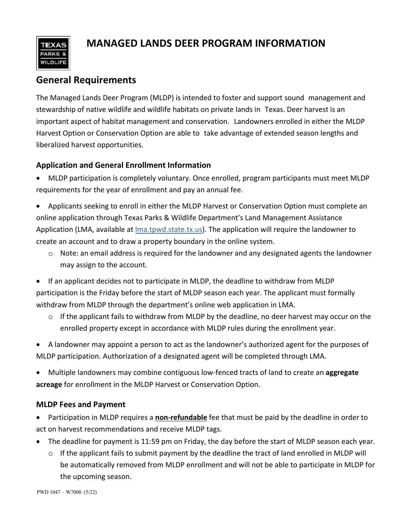

# **MANAGED LANDS DEER PROGRAM INFORMATION**

## **General Requirements**

 The Managed Lands Deer Program (MLDP) is intended to foster and support sound management and stewardship of native wildlife and wildlife habitats on private lands in Texas. Deer harvest is an important aspect of habitat management and conservation. Landowners enrolled in either the MLDP Harvest Option or Conservation Option are able to take advantage of extended season lengths and liberalized harvest opportunities.

## **Application and General Enrollment Information**

• MLDP participation is completely voluntary. Once enrolled, program participants must meet MLDP requirements for the year of enrollment and pay an annual fee.

• Applicants seeking to enroll in either the MLDP Harvest or Conservation Option must complete an online application through Texas Parks & Wildlife Department's Land Management Assistance Application (LMA, available at [lma.tpwd.state.tx.us\)](https://lma.tpwd.state.tx.us/). The application will require the landowner to create an account and to draw a property boundary in the online system.

- o Note: an email address is required for the landowner and any designated agents the landowner may assign to the account.
- If an applicant decides not to participate in MLDP, the deadline to withdraw from MLDP participation is the Friday before the start of MLDP season each year. The applicant must formally withdraw from MLDP through the department's online web application in LMA.
	- o If the applicant fails to withdraw from MLDP by the deadline, no deer harvest may occur on the enrolled property except in accordance with MLDP rules during the enrollment year.
- A landowner may appoint a person to act as the landowner's authorized agent for the purposes of MLDP participation. Authorization of a designated agent will be completed through LMA.
- Multiple landowners may combine contiguous low-fenced tracts of land to create an **aggregate acreage** for enrollment in the MLDP Harvest or Conservation Option.

### **MLDP Fees and Payment**

- Participation in MLDP requires a **non-refundable** fee that must be paid by the deadline in order to act on harvest recommendations and receive MLDP tags.
- The deadline for payment is 11:59 pm on Friday, the day before the start of MLDP season each year.
	- o If the applicant fails to submit payment by the deadline the tract of land enrolled in MLDP will be automatically removed from MLDP enrollment and will not be able to participate in MLDP for the upcoming season.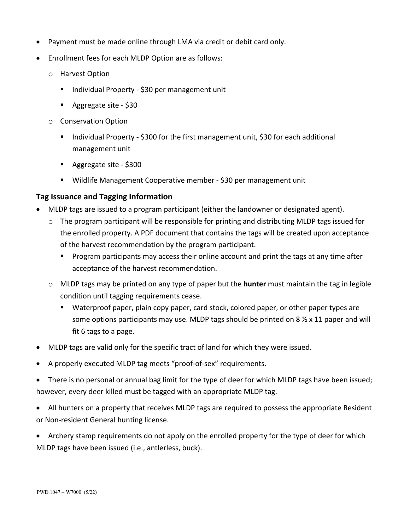- Payment must be made online through LMA via credit or debit card only.
- Enrollment fees for each MLDP Option are as follows:
	- o Harvest Option
		- Individual Property \$30 per management unit
		- Aggregate site \$30
	- o Conservation Option
		- Individual Property \$300 for the first management unit, \$30 for each additional management unit
		- Aggregate site \$300
		- Wildlife Management Cooperative member \$30 per management unit

#### **Tag Issuance and Tagging Information**

- MLDP tags are issued to a program participant (either the landowner or designated agent).
	- o The program participant will be responsible for printing and distributing MLDP tags issued for the enrolled property. A PDF document that contains the tags will be created upon acceptance of the harvest recommendation by the program participant.
		- **Program participants may access their online account and print the tags at any time after** acceptance of the harvest recommendation.
	- o MLDP tags may be printed on any type of paper but the **hunter** must maintain the tag in legible condition until tagging requirements cease.
		- Waterproof paper, plain copy paper, card stock, colored paper, or other paper types are some options participants may use. MLDP tags should be printed on  $8\frac{1}{2} \times 11$  paper and will fit 6 tags to a page.
- MLDP tags are valid only for the specific tract of land for which they were issued.
- A properly executed MLDP tag meets "proof-of-sex" requirements.
- There is no personal or annual bag limit for the type of deer for which MLDP tags have been issued; however, every deer killed must be tagged with an appropriate MLDP tag.
- All hunters on a property that receives MLDP tags are required to possess the appropriate Resident or Non-resident General hunting license.
- Archery stamp requirements do not apply on the enrolled property for the type of deer for which MLDP tags have been issued (i.e., antlerless, buck).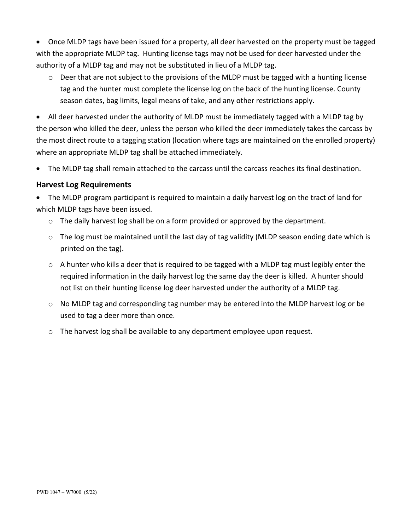• Once MLDP tags have been issued for a property, all deer harvested on the property must be tagged with the appropriate MLDP tag. Hunting license tags may not be used for deer harvested under the authority of a MLDP tag and may not be substituted in lieu of a MLDP tag.

o Deer that are not subject to the provisions of the MLDP must be tagged with a hunting license tag and the hunter must complete the license log on the back of the hunting license. County season dates, bag limits, legal means of take, and any other restrictions apply.

• All deer harvested under the authority of MLDP must be immediately tagged with a MLDP tag by the person who killed the deer, unless the person who killed the deer immediately takes the carcass by the most direct route to a tagging station (location where tags are maintained on the enrolled property) where an appropriate MLDP tag shall be attached immediately.

The MLDP tag shall remain attached to the carcass until the carcass reaches its final destination.

#### **Harvest Log Requirements**

• The MLDP program participant is required to maintain a daily harvest log on the tract of land for which MLDP tags have been issued.

- o The daily harvest log shall be on a form provided or approved by the department.
- $\circ$  The log must be maintained until the last day of tag validity (MLDP season ending date which is printed on the tag).
- $\circ$  A hunter who kills a deer that is required to be tagged with a MLDP tag must legibly enter the required information in the daily harvest log the same day the deer is killed. A hunter should not list on their hunting license log deer harvested under the authority of a MLDP tag.
- o No MLDP tag and corresponding tag number may be entered into the MLDP harvest log or be used to tag a deer more than once.
- o The harvest log shall be available to any department employee upon request.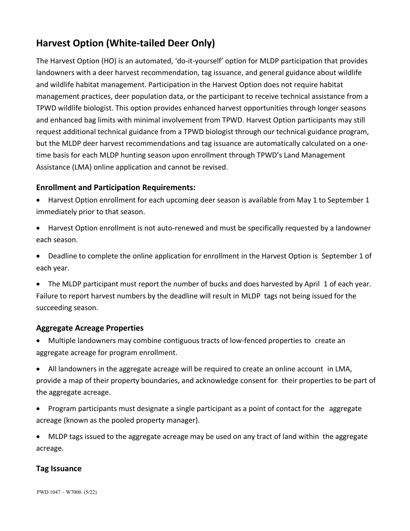# **Harvest Option (White-tailed Deer Only)**

The Harvest Option (HO) is an automated, 'do-it-yourself' option for MLDP participation that provides landowners with a deer harvest recommendation, tag issuance, and general guidance about wildlife and wildlife habitat management. Participation in the Harvest Option does not require habitat management practices, deer population data, or the participant to receive technical assistance from a TPWD wildlife biologist. This option provides enhanced harvest opportunities through longer seasons and enhanced bag limits with minimal involvement from TPWD. Harvest Option participants may still request additional technical guidance from a TPWD biologist through our technical guidance program, but the MLDP deer harvest recommendations and tag issuance are automatically calculated on a onetime basis for each MLDP hunting season upon enrollment through TPWD's Land Management Assistance (LMA) online application and cannot be revised.

## **Enrollment and Participation Requirements:**

- Harvest Option enrollment for each upcoming deer season is available from May 1 to September 1 immediately prior to that season.
- Harvest Option enrollment is not auto-renewed and must be specifically requested by a landowner each season.
- Deadline to complete the online application for enrollment in the Harvest Option is September 1 of each year.
- The MLDP participant must report the number of bucks and does harvested by April 1 of each year. Failure to report harvest numbers by the deadline will result in MLDP tags not being issued for the succeeding season.

### **Aggregate Acreage Properties**

- Multiple landowners may combine contiguous tracts of low-fenced properties to create an aggregate acreage for program enrollment.
- All landowners in the aggregate acreage will be required to create an online account in LMA, provide a map of their property boundaries, and acknowledge consent for their properties to be part of the aggregate acreage.
- Program participants must designate a single participant as a point of contact for the aggregate acreage (known as the pooled property manager).
- MLDP tags issued to the aggregate acreage may be used on any tract of land within the aggregate acreage.

### **Tag Issuance**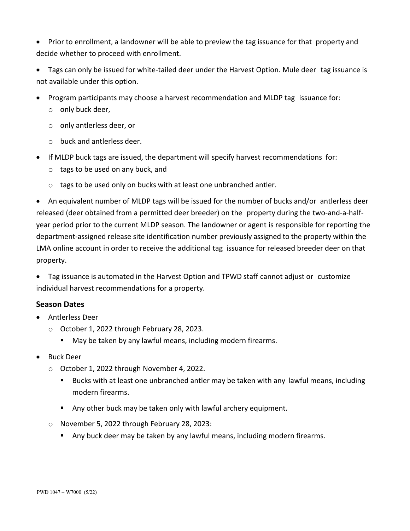• Prior to enrollment, a landowner will be able to preview the tag issuance for that property and decide whether to proceed with enrollment.

• Tags can only be issued for white-tailed deer under the Harvest Option. Mule deer tag issuance is not available under this option.

- Program participants may choose a harvest recommendation and MLDP tag issuance for:
	- o only buck deer,
	- o only antlerless deer, or
	- o buck and antlerless deer.
- If MLDP buck tags are issued, the department will specify harvest recommendations for:
	- o tags to be used on any buck, and
	- o tags to be used only on bucks with at least one unbranched antler.

• An equivalent number of MLDP tags will be issued for the number of bucks and/or antlerless deer released (deer obtained from a permitted deer breeder) on the property during the two-and-a-halfyear period prior to the current MLDP season. The landowner or agent is responsible for reporting the department-assigned release site identification number previously assigned to the property within the LMA online account in order to receive the additional tag issuance for released breeder deer on that property.

• Tag issuance is automated in the Harvest Option and TPWD staff cannot adjust or customize individual harvest recommendations for a property.

#### **Season Dates**

- Antlerless Deer
	- o October 1, 2022 through February 28, 2023.
		- May be taken by any lawful means, including modern firearms.
- Buck Deer
	- o October 1, 2022 through November 4, 2022.
		- Bucks with at least one unbranched antler may be taken with any lawful means, including modern firearms.
		- Any other buck may be taken only with lawful archery equipment.
	- o November 5, 2022 through February 28, 2023:
		- Any buck deer may be taken by any lawful means, including modern firearms.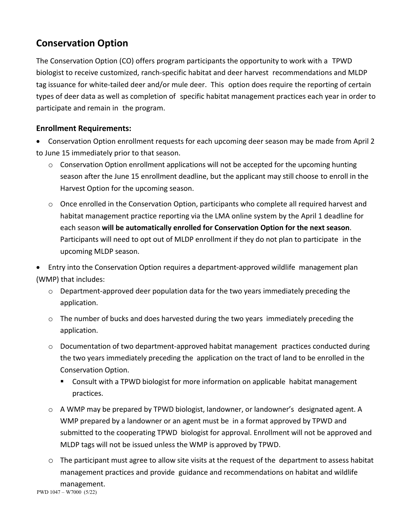## **Conservation Option**

The Conservation Option (CO) offers program participants the opportunity to work with a TPWD biologist to receive customized, ranch-specific habitat and deer harvest recommendations and MLDP tag issuance for white-tailed deer and/or mule deer. This option does require the reporting of certain types of deer data as well as completion of specific habitat management practices each year in order to participate and remain in the program.

## **Enrollment Requirements:**

• Conservation Option enrollment requests for each upcoming deer season may be made from April 2 to June 15 immediately prior to that season.

- $\circ$  Conservation Option enrollment applications will not be accepted for the upcoming hunting season after the June 15 enrollment deadline, but the applicant may still choose to enroll in the Harvest Option for the upcoming season.
- o Once enrolled in the Conservation Option, participants who complete all required harvest and habitat management practice reporting via the LMA online system by the April 1 deadline for each season **will be automatically enrolled for Conservation Option for the next season**. Participants will need to opt out of MLDP enrollment if they do not plan to participate in the upcoming MLDP season.

• Entry into the Conservation Option requires a department-approved wildlife management plan (WMP) that includes:

- o Department-approved deer population data for the two years immediately preceding the application.
- $\circ$  The number of bucks and does harvested during the two years immediately preceding the application.
- o Documentation of two department-approved habitat management practices conducted during the two years immediately preceding the application on the tract of land to be enrolled in the Conservation Option.
	- Consult with a TPWD biologist for more information on applicable habitat management practices.
- o A WMP may be prepared by TPWD biologist, landowner, or landowner's designated agent. A WMP prepared by a landowner or an agent must be in a format approved by TPWD and submitted to the cooperating TPWD biologist for approval. Enrollment will not be approved and MLDP tags will not be issued unless the WMP is approved by TPWD.
- o The participant must agree to allow site visits at the request of the department to assess habitat management practices and provide guidance and recommendations on habitat and wildlife management. PWD 1047–W7000 (5/22)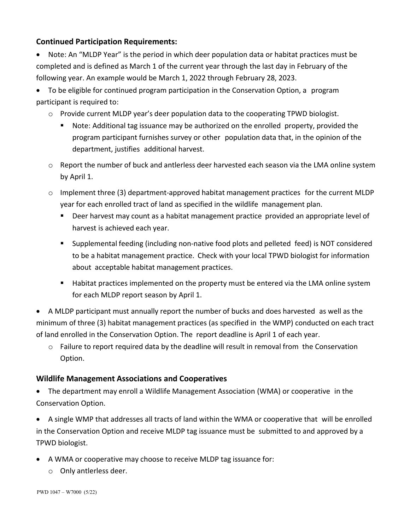## **Continued Participation Requirements:**

• Note: An "MLDP Year" is the period in which deer population data or habitat practices must be completed and is defined as March 1 of the current year through the last day in February of the following year. An example would be March 1, 2022 through February 28, 2023.

• To be eligible for continued program participation in the Conservation Option, a program participant is required to:

- o Provide current MLDP year's deer population data to the cooperating TPWD biologist.
	- Note: Additional tag issuance may be authorized on the enrolled property, provided the program participant furnishes survey or other population data that, in the opinion of the department, justifies additional harvest.
- o Report the number of buck and antlerless deer harvested each season via the LMA online system by April 1.
- $\circ$  Implement three (3) department-approved habitat management practices for the current MLDP year for each enrolled tract of land as specified in the wildlife management plan.
	- Deer harvest may count as a habitat management practice provided an appropriate level of harvest is achieved each year.
	- Supplemental feeding (including non-native food plots and pelleted feed) is NOT considered to be a habitat management practice. Check with your local TPWD biologist for information about acceptable habitat management practices.
	- **Habitat practices implemented on the property must be entered via the LMA online system** for each MLDP report season by April 1.

• A MLDP participant must annually report the number of bucks and does harvested as well as the minimum of three (3) habitat management practices (as specified in the WMP) conducted on each tract of land enrolled in the Conservation Option. The report deadline is April 1 of each year.

o Failure to report required data by the deadline will result in removal from the Conservation Option.

### **Wildlife Management Associations and Cooperatives**

• The department may enroll a Wildlife Management Association (WMA) or cooperative in the Conservation Option.

• A single WMP that addresses all tracts of land within the WMA or cooperative that will be enrolled in the Conservation Option and receive MLDP tag issuance must be submitted to and approved by a TPWD biologist.

- A WMA or cooperative may choose to receive MLDP tag issuance for:
	- o Only antlerless deer.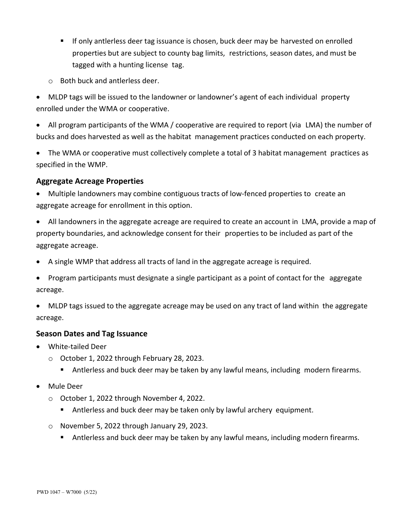- If only antlerless deer tag issuance is chosen, buck deer may be harvested on enrolled properties but are subject to county bag limits, restrictions, season dates, and must be tagged with a hunting license tag.
- o Both buck and antlerless deer.

• MLDP tags will be issued to the landowner or landowner's agent of each individual property enrolled under the WMA or cooperative.

- All program participants of the WMA / cooperative are required to report (via LMA) the number of bucks and does harvested as well as the habitat management practices conducted on each property.
- The WMA or cooperative must collectively complete a total of 3 habitat management practices as specified in the WMP.

#### **Aggregate Acreage Properties**

- Multiple landowners may combine contiguous tracts of low-fenced properties to create an aggregate acreage for enrollment in this option.
- All landowners in the aggregate acreage are required to create an account in LMA, provide a map of property boundaries, and acknowledge consent for their properties to be included as part of the aggregate acreage.
- A single WMP that address all tracts of land in the aggregate acreage is required.
- Program participants must designate a single participant as a point of contact for the aggregate acreage.
- MLDP tags issued to the aggregate acreage may be used on any tract of land within the aggregate acreage.

#### **Season Dates and Tag Issuance**

- White-tailed Deer
	- o October 1, 2022 through February 28, 2023.
		- Antlerless and buck deer may be taken by any lawful means, including modern firearms.
- Mule Deer
	- o October 1, 2022 through November 4, 2022.
		- Antlerless and buck deer may be taken only by lawful archery equipment.
	- o November 5, 2022 through January 29, 2023.
		- **Antialatives** and buck deer may be taken by any lawful means, including modern firearms.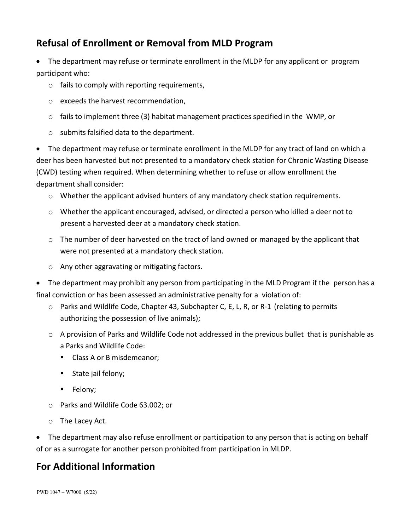## **Refusal of Enrollment or Removal from MLD Program**

• The department may refuse or terminate enrollment in the MLDP for any applicant or program participant who:

- $\circ$  fails to comply with reporting requirements,
- o exceeds the harvest recommendation,
- $\circ$  fails to implement three (3) habitat management practices specified in the WMP, or
- o submits falsified data to the department.

• The department may refuse or terminate enrollment in the MLDP for any tract of land on which a deer has been harvested but not presented to a mandatory check station for Chronic Wasting Disease (CWD) testing when required. When determining whether to refuse or allow enrollment the department shall consider:

- o Whether the applicant advised hunters of any mandatory check station requirements.
- o Whether the applicant encouraged, advised, or directed a person who killed a deer not to present a harvested deer at a mandatory check station.
- o The number of deer harvested on the tract of land owned or managed by the applicant that were not presented at a mandatory check station.
- o Any other aggravating or mitigating factors.

• The department may prohibit any person from participating in the MLD Program if the person has a final conviction or has been assessed an administrative penalty for a violation of:

- o Parks and Wildlife Code, Chapter 43, Subchapter C, E, L, R, or R-1 (relating to permits authorizing the possession of live animals);
- $\circ$  A provision of Parks and Wildlife Code not addressed in the previous bullet that is punishable as a Parks and Wildlife Code:
	- Class A or B misdemeanor;
	- State jail felony;
	- **Felony**;
- o Parks and Wildlife Code 63.002; or
- o The Lacey Act.

• The department may also refuse enrollment or participation to any person that is acting on behalf of or as a surrogate for another person prohibited from participation in MLDP.

## **For Additional Information**